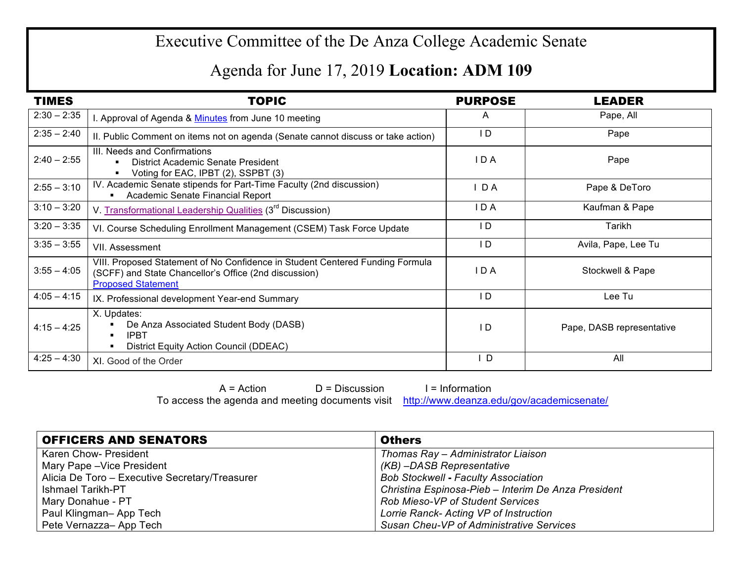## Executive Committee of the De Anza College Academic Senate

## Agenda for June 17, 2019 **Location: ADM 109**

| <b>TIMES</b>  | <b>TOPIC</b>                                                                                                                                                        | <b>PURPOSE</b> | <b>LEADER</b>             |
|---------------|---------------------------------------------------------------------------------------------------------------------------------------------------------------------|----------------|---------------------------|
| $2:30 - 2:35$ | I. Approval of Agenda & Minutes from June 10 meeting                                                                                                                | A              | Pape, All                 |
| $2:35 - 2:40$ | II. Public Comment on items not on agenda (Senate cannot discuss or take action)                                                                                    | I D            | Pape                      |
| $2:40 - 2:55$ | III. Needs and Confirmations<br>District Academic Senate President<br>Voting for EAC, IPBT (2), SSPBT (3)                                                           | IDA            | Pape                      |
| $2:55 - 3:10$ | IV. Academic Senate stipends for Part-Time Faculty (2nd discussion)<br>Academic Senate Financial Report                                                             | $I$ DA         | Pape & DeToro             |
| $3:10 - 3:20$ | V. Transformational Leadership Qualities (3 <sup>rd</sup> Discussion)                                                                                               | IDA            | Kaufman & Pape            |
| $3:20 - 3:35$ | VI. Course Scheduling Enrollment Management (CSEM) Task Force Update                                                                                                | I D            | Tarikh                    |
| $3:35 - 3:55$ | VII. Assessment                                                                                                                                                     | I D            | Avila, Pape, Lee Tu       |
| $3:55 - 4:05$ | VIII. Proposed Statement of No Confidence in Student Centered Funding Formula<br>(SCFF) and State Chancellor's Office (2nd discussion)<br><b>Proposed Statement</b> | IDA            | Stockwell & Pape          |
| $4:05 - 4:15$ | IX. Professional development Year-end Summary                                                                                                                       | ID             | Lee Tu                    |
| $4:15 - 4:25$ | X. Updates:<br>De Anza Associated Student Body (DASB)<br><b>IPBT</b><br>District Equity Action Council (DDEAC)                                                      | I D            | Pape, DASB representative |
| $4:25 - 4:30$ | XI. Good of the Order                                                                                                                                               | I D            | All                       |

 $A = Action$   $D = Discussion$  I = Information To access the agenda and meeting documents visit http://www.deanza.edu/gov/academicsenate/

| <b>OFFICERS AND SENATORS</b>                   | <b>Others</b>                                       |
|------------------------------------------------|-----------------------------------------------------|
| Karen Chow- President                          | Thomas Ray - Administrator Liaison                  |
| Mary Pape - Vice President                     | (KB) -DASB Representative                           |
| Alicia De Toro - Executive Secretary/Treasurer | <b>Bob Stockwell - Faculty Association</b>          |
| <b>Ishmael Tarikh-PT</b>                       | Christina Espinosa-Pieb - Interim De Anza President |
| Mary Donahue - PT                              | <b>Rob Mieso-VP of Student Services</b>             |
| Paul Klingman-App Tech                         | Lorrie Ranck- Acting VP of Instruction              |
| Pete Vernazza-App Tech                         | Susan Cheu-VP of Administrative Services            |